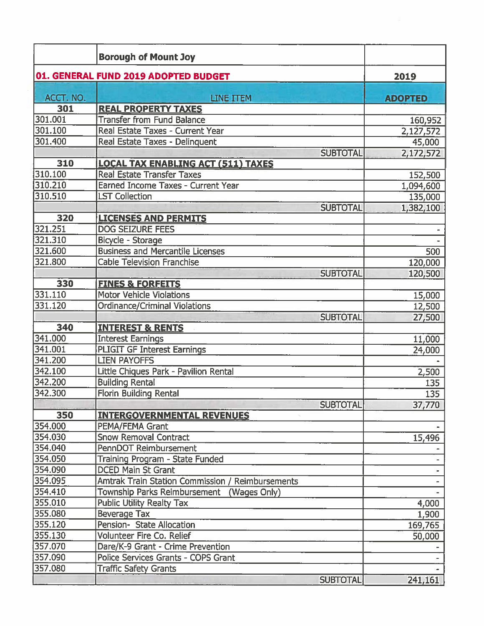|           | <b>Borough of Mount Joy</b>                      |                 |                |
|-----------|--------------------------------------------------|-----------------|----------------|
|           | 01. GENERAL FUND 2019 ADOPTED BUDGET             |                 | 2019           |
| ACCT. NO. | <b>LINE ITEM</b>                                 |                 | <b>ADOPTED</b> |
| 301       | <b>REAL PROPERTY TAXES</b>                       |                 |                |
| 301.001   | <b>Transfer from Fund Balance</b>                |                 | 160,952        |
| 301.100   | Real Estate Taxes - Current Year                 |                 | 2,127,572      |
| 301.400   | Real Estate Taxes - Delinquent                   |                 | 45,000         |
|           |                                                  | <b>SUBTOTAL</b> | 2,172,572      |
| 310       | <b>LOCAL TAX ENABLING ACT (511) TAXES</b>        |                 |                |
| 310.100   | <b>Real Estate Transfer Taxes</b>                |                 | 152,500        |
| 310.210   | Earned Income Taxes - Current Year               |                 | 1,094,600      |
| 310.510   | <b>LST Collection</b>                            |                 | 135,000        |
|           |                                                  | <b>SUBTOTAL</b> | 1,382,100      |
| 320       | <b>LICENSES AND PERMITS</b>                      |                 |                |
| 321.251   | <b>DOG SEIZURE FEES</b>                          |                 |                |
| 321.310   | Bicycle - Storage                                |                 |                |
| 321.600   | <b>Business and Mercantile Licenses</b>          |                 | 500            |
| 321.800   | <b>Cable Television Franchise</b>                |                 | 120,000        |
|           |                                                  | <b>SUBTOTAL</b> | 120,500        |
| 330       | <b>FINES &amp; FORFEITS</b>                      |                 |                |
| 331.110   | <b>Motor Vehicle Violations</b>                  |                 | 15,000         |
| 331.120   | <b>Ordinance/Criminal Violations</b>             |                 | 12,500         |
|           |                                                  | <b>SUBTOTAL</b> | 27,500         |
| 340       | <b>INTEREST &amp; RENTS</b>                      |                 |                |
| 341.000   | <b>Interest Earnings</b>                         |                 | 11,000         |
| 341.001   | <b>PLIGIT GF Interest Earnings</b>               |                 | 24,000         |
| 341.200   | <b>LIEN PAYOFFS</b>                              |                 |                |
| 342.100   | Little Chiques Park - Pavilion Rental            |                 | 2,500          |
| 342,200   | <b>Building Rental</b>                           |                 | 135            |
| 342.300   | <b>Florin Building Rental</b>                    |                 | 135            |
|           |                                                  | <b>SUBTOTAL</b> | 37,770         |
| 350       | <b>INTERGOVERNMENTAL REVENUES</b>                |                 |                |
| 354.000   | PEMA/FEMA Grant                                  |                 |                |
| 354.030   | <b>Snow Removal Contract</b>                     |                 | 15,496         |
| 354.040   | PennDOT Reimbursement                            |                 |                |
| 354.050   | Training Program - State Funded                  |                 |                |
| 354.090   | <b>DCED Main St Grant</b>                        |                 |                |
| 354.095   | Amtrak Train Station Commission / Reimbursements |                 |                |
| 354.410   | Township Parks Reimbursement (Wages Only)        |                 |                |
| 355.010   | <b>Public Utility Realty Tax</b>                 |                 | 4,000          |
| 355.080   | Beverage Tax                                     |                 | 1,900          |
| 355.120   | Pension- State Allocation                        |                 | 169,765        |
| 355.130   | Volunteer Fire Co. Relief                        |                 | 50,000         |
| 357.070   | Dare/K-9 Grant - Crime Prevention                |                 |                |
| 357.090   | Police Services Grants - COPS Grant              |                 |                |
| 357.080   | <b>Traffic Safety Grants</b>                     |                 |                |
|           |                                                  | <b>SUBTOTAL</b> | 241,161        |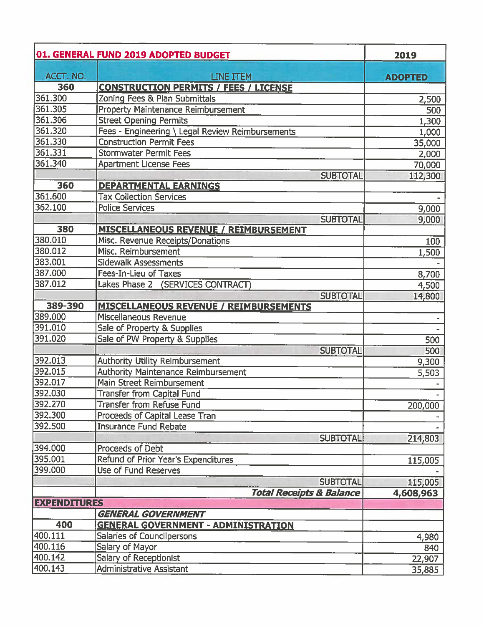|                     | 01. GENERAL FUND 2019 ADOPTED BUDGET             | 2019           |
|---------------------|--------------------------------------------------|----------------|
| ACCT. NO.           | LINE ITEM                                        | <b>ADOPTED</b> |
| 360                 | <b>CONSTRUCTION PERMITS / FEES / LICENSE</b>     |                |
| 361.300             | Zoning Fees & Plan Submittals                    | 2,500          |
| 361.305             | <b>Property Maintenance Reimbursement</b>        | 500            |
| 361.306             | <b>Street Opening Permits</b>                    | 1,300          |
| 361.320             | Fees - Engineering \ Legal Review Reimbursements | 1,000          |
| 361.330             | <b>Construction Permit Fees</b>                  | 35,000         |
| 361.331             | <b>Stormwater Permit Fees</b>                    | 2,000          |
| 361.340             | <b>Apartment License Fees</b>                    | 70,000         |
|                     | <b>SUBTOTAL</b>                                  | 112,300        |
| 360                 | <b>DEPARTMENTAL EARNINGS</b>                     |                |
| 361.600             | <b>Tax Collection Services</b>                   |                |
| 362.100             | Police Services                                  | 9,000          |
|                     | <b>SUBTOTAL</b>                                  | 9,000          |
| 380                 | <b>MISCELLANEOUS REVENUE / REIMBURSEMENT</b>     |                |
| 380.010             | Misc. Revenue Receipts/Donations                 | 100            |
| 380.012             | Misc. Reimbursement                              | 1,500          |
| 383.001             | <b>Sidewalk Assessments</b>                      |                |
| 387.000             | Fees-In-Lieu of Taxes                            | 8,700          |
| 387.012             | Lakes Phase 2 (SERVICES CONTRACT)                | 4,500          |
|                     | <b>SUBTOTAL</b>                                  | 14,800         |
| 389-390             | <b>MISCELLANEOUS REVENUE / REIMBURSEMENTS</b>    |                |
| 389.000             | Miscellaneous Revenue                            |                |
| 391.010             | Sale of Property & Supplies                      |                |
| 391.020             | Sale of PW Property & Supplies                   | 500            |
|                     | <b>SUBTOTAL</b>                                  | 500            |
| 392.013             | <b>Authority Utility Reimbursement</b>           | 9,300          |
| 392.015             | <b>Authority Maintenance Reimbursement</b>       | 5,503          |
| 392.017             | Main Street Reimbursement                        |                |
| 392.030             | <b>Transfer from Capital Fund</b>                |                |
| 392.270             | <b>Transfer from Refuse Fund</b>                 | 200,000        |
| 392.300             | Proceeds of Capital Lease Tran                   |                |
| 392.500             | <b>Insurance Fund Rebate</b>                     |                |
|                     | <b>SUBTOTAL</b>                                  | 214,803        |
| 394.000             | Proceeds of Debt                                 |                |
| 395.001             | Refund of Prior Year's Expenditures              | 115,005        |
| 399.000             | <b>Use of Fund Reserves</b>                      |                |
|                     | <b>SUBTOTAL</b>                                  | 115,005        |
|                     | <b>Total Receipts &amp; Balance</b>              | 4,608,963      |
| <b>EXPENDITURES</b> |                                                  |                |
|                     | <b>GENERAL GOVERNMENT</b>                        |                |
| 400                 | <b>GENERAL GOVERNMENT - ADMINISTRATION</b>       |                |
| 400.111             | Salaries of Councilpersons                       | 4,980          |
| 400.116             | Salary of Mayor                                  | 840            |
| 400.142             | <b>Salary of Receptionist</b>                    | 22,907         |
| 400.143             | <b>Administrative Assistant</b>                  | 35,885         |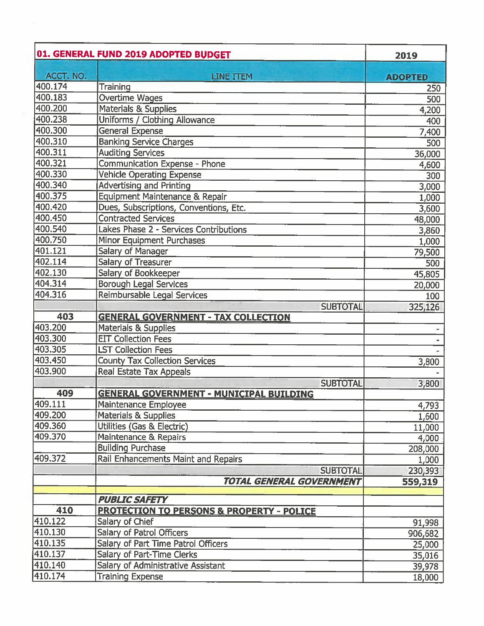|           | 01. GENERAL FUND 2019 ADOPTED BUDGET                 | 2019           |
|-----------|------------------------------------------------------|----------------|
| ACCT. NO. | <b>LINE ITEM</b>                                     | <b>ADOPTED</b> |
| 400.174   | Training                                             | 250            |
| 400.183   | Overtime Wages                                       | 500            |
| 400.200   | <b>Materials &amp; Supplies</b>                      | 4,200          |
| 400.238   | Uniforms / Clothing Allowance                        | 400            |
| 400.300   | <b>General Expense</b>                               | 7,400          |
| 400.310   | <b>Banking Service Charges</b>                       | 500            |
| 400.311   | <b>Auditing Services</b>                             | 36,000         |
| 400.321   | <b>Communication Expense - Phone</b>                 | 4,600          |
| 400.330   | Vehicle Operating Expense                            | 300            |
| 400.340   | <b>Advertising and Printing</b>                      | 3,000          |
| 400.375   | Equipment Maintenance & Repair                       | 1,000          |
| 400.420   | Dues, Subscriptions, Conventions, Etc.               | 3,600          |
| 400.450   | <b>Contracted Services</b>                           | 48,000         |
| 400.540   | Lakes Phase 2 - Services Contributions               | 3,860          |
| 400.750   | Minor Equipment Purchases                            | 1,000          |
| 401.121   | Salary of Manager                                    | 79,500         |
| 402.114   | Salary of Treasurer                                  | 500            |
| 402.130   | Salary of Bookkeeper                                 | 45,805         |
| 404.314   | <b>Borough Legal Services</b>                        | 20,000         |
| 404.316   | Reimbursable Legal Services                          | 100            |
|           | <b>SUBTOTAL</b>                                      | 325,126        |
| 403       | <b>GENERAL GOVERNMENT - TAX COLLECTION</b>           |                |
| 403.200   | <b>Materials &amp; Supplies</b>                      |                |
| 403.300   | <b>EIT Collection Fees</b>                           |                |
| 403.305   | <b>LST Collection Fees</b>                           |                |
| 403.450   | <b>County Tax Collection Services</b>                | 3,800          |
| 403.900   | <b>Real Estate Tax Appeals</b>                       |                |
|           | <b>SUBTOTAL</b>                                      | 3,800          |
| 409       | <b>GENERAL GOVERNMENT - MUNICIPAL BUILDING</b>       |                |
| 409.111   | Maintenance Employee                                 | 4,793          |
| 409.200   | <b>Materials &amp; Supplies</b>                      | 1,600          |
| 409.360   | Utilities (Gas & Electric)                           | 11,000         |
| 409.370   | Maintenance & Repairs                                | 4,000          |
|           | <b>Building Purchase</b>                             | 208,000        |
| 409.372   | Rail Enhancements Maint and Repairs                  | 1,000          |
|           | <b>SUBTOTAL</b>                                      | 230,393        |
|           | <b>TOTAL GENERAL GOVERNMENT</b>                      | 559,319        |
|           |                                                      |                |
|           | <b>PUBLIC SAFETY</b>                                 |                |
| 410       | <b>PROTECTION TO PERSONS &amp; PROPERTY - POLICE</b> |                |
| 410.122   | Salary of Chief                                      | 91,998         |
| 410.130   | Salary of Patrol Officers                            | 906,682        |
| 410.135   | Salary of Part Time Patrol Officers                  | 25,000         |
| 410.137   | Salary of Part-Time Clerks                           | 35,016         |
| 410.140   | Salary of Administrative Assistant                   | 39,978         |
| 410.174   | <b>Training Expense</b>                              | 18,000         |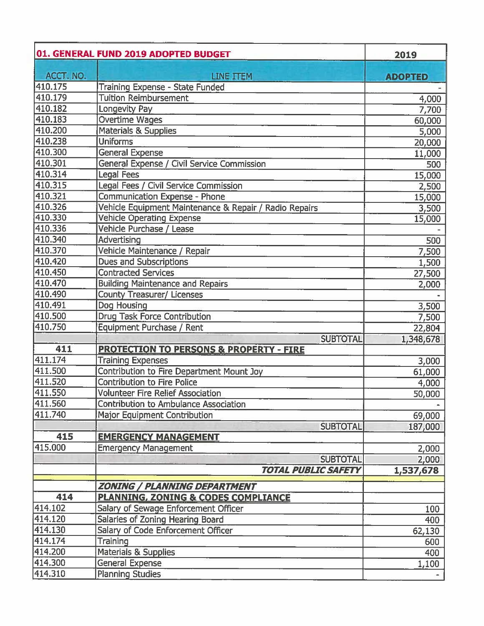|           | 01. GENERAL FUND 2019 ADOPTED BUDGET                   | 2019           |
|-----------|--------------------------------------------------------|----------------|
| ACCT. NO. | <b>LINE ITEM</b>                                       | <b>ADOPTED</b> |
| 410.175   | Training Expense - State Funded                        |                |
| 410.179   | <b>Tuition Reimbursement</b>                           | 4,000          |
| 410.182   | Longevity Pay                                          | 7,700          |
| 410.183   | Overtime Wages                                         | 60,000         |
| 410.200   | <b>Materials &amp; Supplies</b>                        | 5,000          |
| 410.238   | <b>Uniforms</b>                                        | 20,000         |
| 410.300   | <b>General Expense</b>                                 | 11,000         |
| 410.301   | General Expense / Civil Service Commission             | 500            |
| 410.314   | Legal Fees                                             | 15,000         |
| 410.315   | Legal Fees / Civil Service Commission                  | 2,500          |
| 410.321   | Communication Expense - Phone                          | 15,000         |
| 410.326   | Vehicle Equipment Maintenance & Repair / Radio Repairs | 3,500          |
| 410.330   | <b>Vehicle Operating Expense</b>                       | 15,000         |
| 410.336   | Vehicle Purchase / Lease                               |                |
| 410.340   | Advertising                                            | 500            |
| 410.370   | Vehicle Maintenance / Repair                           | 7,500          |
| 410.420   | <b>Dues and Subscriptions</b>                          | 1,500          |
| 410.450   | <b>Contracted Services</b>                             | 27,500         |
| 410.470   | <b>Building Maintenance and Repairs</b>                | 2,000          |
| 410.490   | <b>County Treasurer/ Licenses</b>                      |                |
| 410.491   | Dog Housing                                            | 3,500          |
| 410.500   | <b>Drug Task Force Contribution</b>                    | 7,500          |
| 410.750   | Equipment Purchase / Rent                              | 22,804         |
|           | <b>SUBTOTAL</b>                                        | 1,348,678      |
| 411       | <b>PROTECTION TO PERSONS &amp; PROPERTY - FIRE</b>     |                |
| 411.174   | <b>Training Expenses</b>                               | 3,000          |
| 411.500   | Contribution to Fire Department Mount Joy              | 61,000         |
| 411.520   | <b>Contribution to Fire Police</b>                     | 4,000          |
| 411.550   | <b>Volunteer Fire Relief Association</b>               | 50,000         |
| 411.560   | Contribution to Ambulance Association                  |                |
| 411.740   | Major Equipment Contribution                           | 69,000         |
|           | <b>SUBTOTAL</b>                                        | 187,000        |
| 415       | <b>EMERGENCY MANAGEMENT</b>                            |                |
| 415.000   | <b>Emergency Management</b>                            | 2,000          |
|           | <b>SUBTOTAL</b>                                        | 2,000          |
|           | <b>TOTAL PUBLIC SAFETY</b>                             | 1,537,678      |
|           | ZONING / PLANNING DEPARTMENT                           |                |
| 414       | <b>PLANNING, ZONING &amp; CODES COMPLIANCE</b>         |                |
| 414.102   | Salary of Sewage Enforcement Officer                   | 100            |
| 414.120   | Salaries of Zoning Hearing Board                       | 400            |
| 414.130   | Salary of Code Enforcement Officer                     | 62,130         |
| 414.174   | Training                                               | 600            |
| 414.200   | <b>Materials &amp; Supplies</b>                        | 400            |
| 414.300   | <b>General Expense</b>                                 | 1,100          |
| 414.310   | <b>Planning Studies</b>                                |                |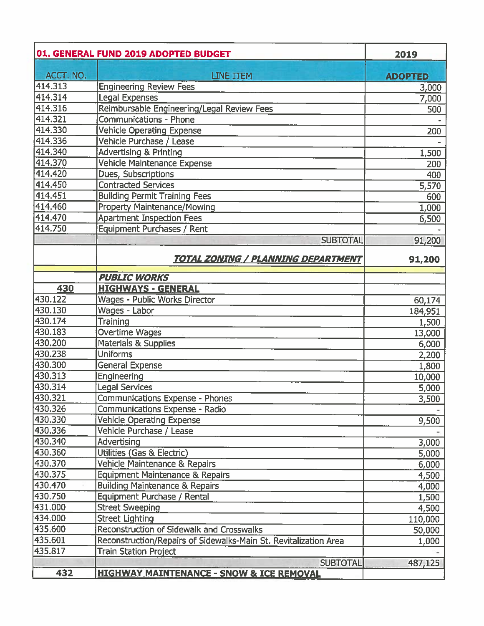|           | 01. GENERAL FUND 2019 ADOPTED BUDGET                             | 2019           |
|-----------|------------------------------------------------------------------|----------------|
| ACCT. NO. | <b>LINE ITEM</b>                                                 | <b>ADOPTED</b> |
| 414.313   | <b>Engineering Review Fees</b>                                   | 3,000          |
| 414.314   | <b>Legal Expenses</b>                                            | 7,000          |
| 414.316   | Reimbursable Engineering/Legal Review Fees                       | 500            |
| 414.321   | <b>Communications - Phone</b>                                    |                |
| 414.330   | <b>Vehicle Operating Expense</b>                                 | 200            |
| 414.336   | Vehicle Purchase / Lease                                         |                |
| 414.340   | <b>Advertising &amp; Printing</b>                                | 1,500          |
| 414.370   | Vehicle Maintenance Expense                                      | 200            |
| 414.420   | Dues, Subscriptions                                              | 400            |
| 414.450   | <b>Contracted Services</b>                                       | 5,570          |
| 414.451   | <b>Building Permit Training Fees</b>                             | 600            |
| 414.460   | Property Maintenance/Mowing                                      | 1,000          |
| 414.470   | <b>Apartment Inspection Fees</b>                                 | 6,500          |
| 414.750   | <b>Equipment Purchases / Rent</b>                                |                |
|           | <b>SUBTOTAL</b>                                                  | 91,200         |
|           | <b>TOTAL ZONING / PLANNING DEPARTMENT</b>                        | 91,200         |
|           | <b>PUBLIC WORKS</b>                                              |                |
| 430       | <b>HIGHWAYS - GENERAL</b>                                        |                |
| 430.122   | <b>Wages - Public Works Director</b>                             | 60,174         |
| 430.130   | Wages - Labor                                                    | 184,951        |
| 430.174   | Training                                                         | 1,500          |
| 430.183   | Overtime Wages                                                   | 13,000         |
| 430.200   | Materials & Supplies                                             | 6,000          |
| 430.238   | <b>Uniforms</b>                                                  | 2,200          |
| 430.300   | General Expense                                                  | 1,800          |
| 430.313   | Engineering                                                      | 10,000         |
| 430.314   | <b>Legal Services</b>                                            | 5,000          |
| 430.321   | Communications Expense - Phones                                  | 3,500          |
| 430.326   | Communications Expense - Radio                                   |                |
| 430.330   | <b>Vehicle Operating Expense</b>                                 | 9,500          |
| 430.336   | Vehicle Purchase / Lease                                         |                |
| 430.340   | Advertising                                                      | 3,000          |
| 430.360   | Utilities (Gas & Electric)                                       | 5,000          |
| 430.370   | Vehicle Maintenance & Repairs                                    | 6,000          |
| 430.375   | <b>Equipment Maintenance &amp; Repairs</b>                       | 4,500          |
| 430.470   | <b>Building Maintenance &amp; Repairs</b>                        | 4,000          |
| 430.750   | Equipment Purchase / Rental                                      | 1,500          |
| 431.000   | <b>Street Sweeping</b>                                           | 4,500          |
| 434.000   | <b>Street Lighting</b>                                           | 110,000        |
| 435.600   | <b>Reconstruction of Sidewalk and Crosswalks</b>                 | 50,000         |
| 435.601   | Reconstruction/Repairs of Sidewalks-Main St. Revitalization Area | 1,000          |
| 435.817   | <b>Train Station Project</b>                                     |                |
|           | <b>SUBTOTAL</b>                                                  | 487,125        |
| 432       | <b>HIGHWAY MAINTENANCE - SNOW &amp; ICE REMOVAL</b>              |                |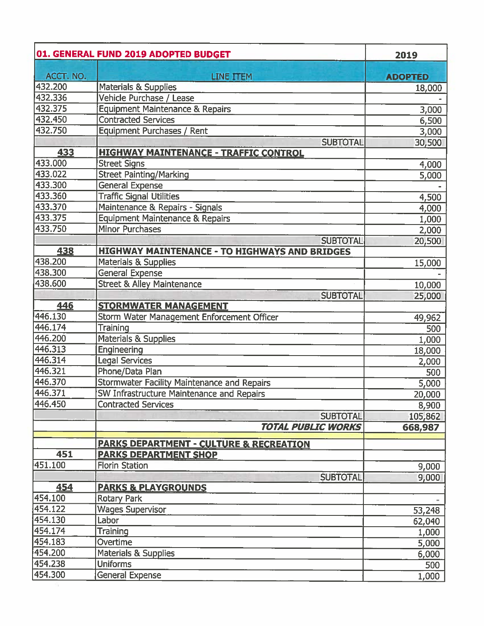|            | 01. GENERAL FUND 2019 ADOPTED BUDGET                 | 2019           |
|------------|------------------------------------------------------|----------------|
| ACCT. NO.  | LINE ITEM                                            | <b>ADOPTED</b> |
| 432.200    | <b>Materials &amp; Supplies</b>                      | 18,000         |
| 432.336    | Vehicle Purchase / Lease                             |                |
| 432.375    | <b>Equipment Maintenance &amp; Repairs</b>           | 3,000          |
| 432.450    | <b>Contracted Services</b>                           | 6,500          |
| 432.750    | Equipment Purchases / Rent                           | 3,000          |
|            | <b>SUBTOTAL</b>                                      | 30,500         |
| 433        | <u> HIGHWAY MAINTENANCE - TRAFFIC CONTROL</u>        |                |
| 433.000    | <b>Street Signs</b>                                  | 4,000          |
| 433.022    | <b>Street Painting/Marking</b>                       | 5,000          |
| 433.300    | General Expense                                      |                |
| 433.360    | <b>Traffic Signal Utilities</b>                      | 4,500          |
| 433.370    | Maintenance & Repairs - Signals                      | 4,000          |
| 433.375    | Equipment Maintenance & Repairs                      | 1,000          |
| 433.750    | <b>Minor Purchases</b>                               | 2,000          |
|            | <b>SUBTOTAL</b>                                      | 20,500         |
| 438        | <b>HIGHWAY MAINTENANCE - TO HIGHWAYS AND BRIDGES</b> |                |
| 438.200    | <b>Materials &amp; Supplies</b>                      |                |
| 438.300    | <b>General Expense</b>                               | 15,000         |
| 438.600    | <b>Street &amp; Alley Maintenance</b>                |                |
|            |                                                      | 10,000         |
| <b>446</b> | <b>SUBTOTAL</b><br><b>STORMWATER MANAGEMENT</b>      | 25,000         |
| 446.130    |                                                      |                |
| 446.174    | Storm Water Management Enforcement Officer           | 49,962         |
|            | Training                                             | 500            |
| 446.200    | <b>Materials &amp; Supplies</b>                      | 1,000          |
| 446.313    | Engineering                                          | 18,000         |
| 446.314    | <b>Legal Services</b>                                | 2,000          |
| 446.321    | Phone/Data Plan                                      | 500            |
| 446.370    | <b>Stormwater Facility Maintenance and Repairs</b>   | 5,000          |
| 446.371    | SW Infrastructure Maintenance and Repairs            | 20,000         |
| 446.450    | <b>Contracted Services</b>                           | 8,900          |
|            | <b>SUBTOTAL</b>                                      | 105,862        |
|            | <b>TOTAL PUBLIC WORKS</b>                            | 668,987        |
|            | <b>PARKS DEPARTMENT - CULTURE &amp; RECREATION</b>   |                |
| 451        | <b>PARKS DEPARTMENT SHOP</b>                         |                |
| 451.100    | <b>Florin Station</b>                                |                |
|            |                                                      | 9,000          |
|            | <b>SUBTOTAL</b>                                      | 9,000          |
| 454        | <b>PARKS &amp; PLAYGROUNDS</b>                       |                |
| 454.100    | <b>Rotary Park</b>                                   |                |
| 454.122    | <b>Wages Supervisor</b>                              | 53,248         |
| 454.130    | Labor                                                | 62,040         |
| 454.174    | Training                                             | 1,000          |
| 454.183    | Overtime                                             | 5,000          |
| 454.200    | <b>Materials &amp; Supplies</b>                      | 6,000          |
| 454.238    | <b>Uniforms</b>                                      | 500            |
| 454.300    | General Expense                                      | 1,000          |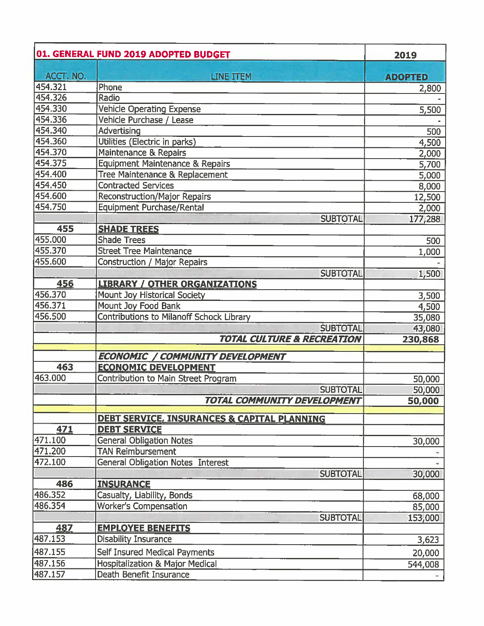|                             | 01. GENERAL FUND 2019 ADOPTED BUDGET                        | 2019           |
|-----------------------------|-------------------------------------------------------------|----------------|
| ACCT. NO.                   | LINE ITEM                                                   | <b>ADOPTED</b> |
| 454.321                     | Phone                                                       | 2,800          |
| 454.326                     | Radio                                                       |                |
| 454.330                     | <b>Vehicle Operating Expense</b>                            | 5,500          |
| 454.336                     | Vehicle Purchase / Lease                                    |                |
| 454.340                     | Advertising                                                 | 500            |
| 454.360                     | Utilities (Electric in parks)                               | 4,500          |
| 454.370                     | Maintenance & Repairs                                       | 2,000          |
| 454.375                     | <b>Equipment Maintenance &amp; Repairs</b>                  | 5,700          |
| 454.400                     | Tree Maintenance & Replacement                              | 5,000          |
| 454.450                     | <b>Contracted Services</b>                                  | 8,000          |
| 454.600                     | <b>Reconstruction/Major Repairs</b>                         | 12,500         |
| 454.750                     | <b>Equipment Purchase/Rental</b>                            | 2,000          |
|                             | <b>SUBTOTAL</b>                                             | 177,288        |
| 455                         | <b>SHADE TREES</b>                                          |                |
| 455.000                     | <b>Shade Trees</b>                                          | 500            |
| 455.370                     | <b>Street Tree Maintenance</b>                              | 1,000          |
| 455.600                     | <b>Construction / Major Repairs</b>                         |                |
|                             | <b>SUBTOTAL</b>                                             | 1,500          |
| 456                         | <b>LIBRARY / OTHER ORGANIZATIONS</b>                        |                |
| 456.370                     | Mount Joy Historical Society                                | 3,500          |
| 456.371                     | Mount Joy Food Bank                                         | 4,500          |
| 456.500                     | <b>Contributions to Milanoff Schock Library</b>             | 35,080         |
|                             | <b>SUBTOTAL</b>                                             | 43,080         |
|                             | <b>TOTAL CULTURE &amp; RECREATION</b>                       | 230,868        |
|                             | <b>ECONOMIC / COMMUNITY DEVELOPMENT</b>                     |                |
| 463                         | <b>ECONOMIC DEVELOPMENT</b>                                 |                |
| 463.000                     | Contribution to Main Street Program                         | 50,000         |
|                             | <b>SUBTOTAL</b>                                             | 50,000         |
|                             | <b>TOTAL COMMUNITY DEVELOPMENT</b>                          | 50,000         |
|                             |                                                             |                |
| 471                         | <b>DEBT SERVICE, INSURANCES &amp; CAPITAL PLANNING</b>      |                |
|                             | <b>DEBT SERVICE</b>                                         |                |
| 471.100<br>$\sqrt{471.200}$ | <b>General Obligation Notes</b><br><b>TAN Reimbursement</b> | 30,000         |
|                             |                                                             |                |
| 472.100                     | General Obligation Notes Interest<br><b>SUBTOTAL</b>        | 30,000         |
| 486                         | <b>INSURANCE</b>                                            |                |
| 486.352                     | Casualty, Liability, Bonds                                  | 68,000         |
| 486.354                     | <b>Worker's Compensation</b>                                | 85,000         |
|                             | <b>SUBTOTAL</b>                                             | 153,000        |
| 487                         | <b>EMPLOYEE BENEFITS</b>                                    |                |
| 487.153                     | <b>Disability Insurance</b>                                 | 3,623          |
| 487.155                     | Self Insured Medical Payments                               |                |
| 487.156                     | <b>Hospitalization &amp; Major Medical</b>                  | 20,000         |
| 487.157                     | Death Benefit Insurance                                     | 544,008        |
|                             |                                                             |                |